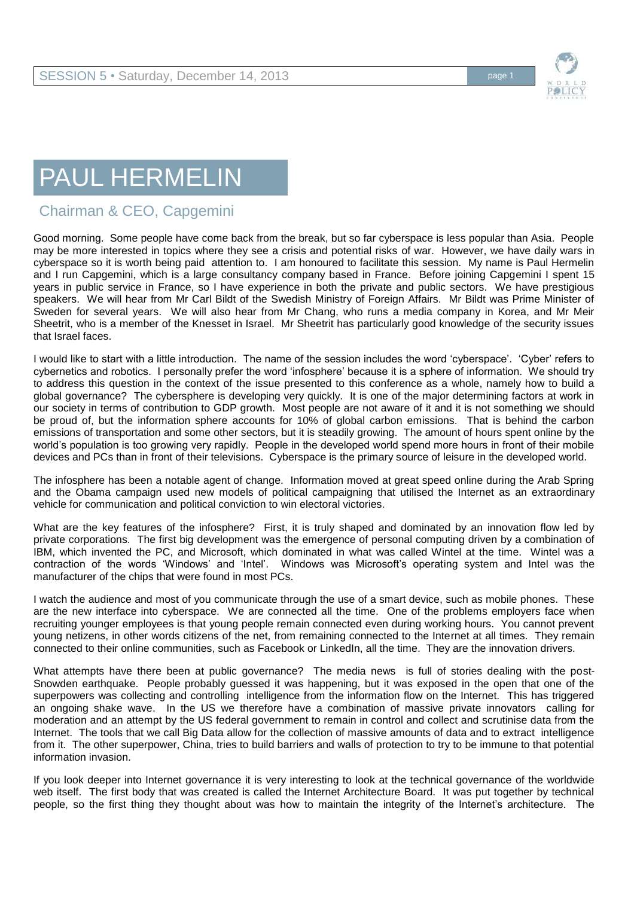

## PAUL HERMELIN

## Chairman & CEO, Capgemini

Good morning. Some people have come back from the break, but so far cyberspace is less popular than Asia. People may be more interested in topics where they see a crisis and potential risks of war. However, we have daily wars in cyberspace so it is worth being paid attention to. I am honoured to facilitate this session. My name is Paul Hermelin and I run Capgemini, which is a large consultancy company based in France. Before joining Capgemini I spent 15 years in public service in France, so I have experience in both the private and public sectors. We have prestigious speakers. We will hear from Mr Carl Bildt of the Swedish Ministry of Foreign Affairs. Mr Bildt was Prime Minister of Sweden for several years. We will also hear from Mr Chang, who runs a media company in Korea, and Mr Meir Sheetrit, who is a member of the Knesset in Israel. Mr Sheetrit has particularly good knowledge of the security issues that Israel faces.

I would like to start with a little introduction. The name of the session includes the word 'cyberspace'. 'Cyber' refers to cybernetics and robotics. I personally prefer the word 'infosphere' because it is a sphere of information. We should try to address this question in the context of the issue presented to this conference as a whole, namely how to build a global governance? The cybersphere is developing very quickly. It is one of the major determining factors at work in our society in terms of contribution to GDP growth. Most people are not aware of it and it is not something we should be proud of, but the information sphere accounts for 10% of global carbon emissions. That is behind the carbon emissions of transportation and some other sectors, but it is steadily growing. The amount of hours spent online by the world's population is too growing very rapidly. People in the developed world spend more hours in front of their mobile devices and PCs than in front of their televisions. Cyberspace is the primary source of leisure in the developed world.

The infosphere has been a notable agent of change. Information moved at great speed online during the Arab Spring and the Obama campaign used new models of political campaigning that utilised the Internet as an extraordinary vehicle for communication and political conviction to win electoral victories.

What are the key features of the infosphere? First, it is truly shaped and dominated by an innovation flow led by private corporations. The first big development was the emergence of personal computing driven by a combination of IBM, which invented the PC, and Microsoft, which dominated in what was called Wintel at the time. Wintel was a contraction of the words 'Windows' and 'Intel'. Windows was Microsoft's operating system and Intel was the manufacturer of the chips that were found in most PCs.

I watch the audience and most of you communicate through the use of a smart device, such as mobile phones. These are the new interface into cyberspace. We are connected all the time. One of the problems employers face when recruiting younger employees is that young people remain connected even during working hours. You cannot prevent young netizens, in other words citizens of the net, from remaining connected to the Internet at all times. They remain connected to their online communities, such as Facebook or LinkedIn, all the time. They are the innovation drivers.

What attempts have there been at public governance? The media news is full of stories dealing with the post-Snowden earthquake. People probably guessed it was happening, but it was exposed in the open that one of the superpowers was collecting and controlling intelligence from the information flow on the Internet. This has triggered an ongoing shake wave. In the US we therefore have a combination of massive private innovators calling for moderation and an attempt by the US federal government to remain in control and collect and scrutinise data from the Internet. The tools that we call Big Data allow for the collection of massive amounts of data and to extract intelligence from it. The other superpower, China, tries to build barriers and walls of protection to try to be immune to that potential information invasion.

If you look deeper into Internet governance it is very interesting to look at the technical governance of the worldwide web itself. The first body that was created is called the Internet Architecture Board. It was put together by technical people, so the first thing they thought about was how to maintain the integrity of the Internet's architecture. The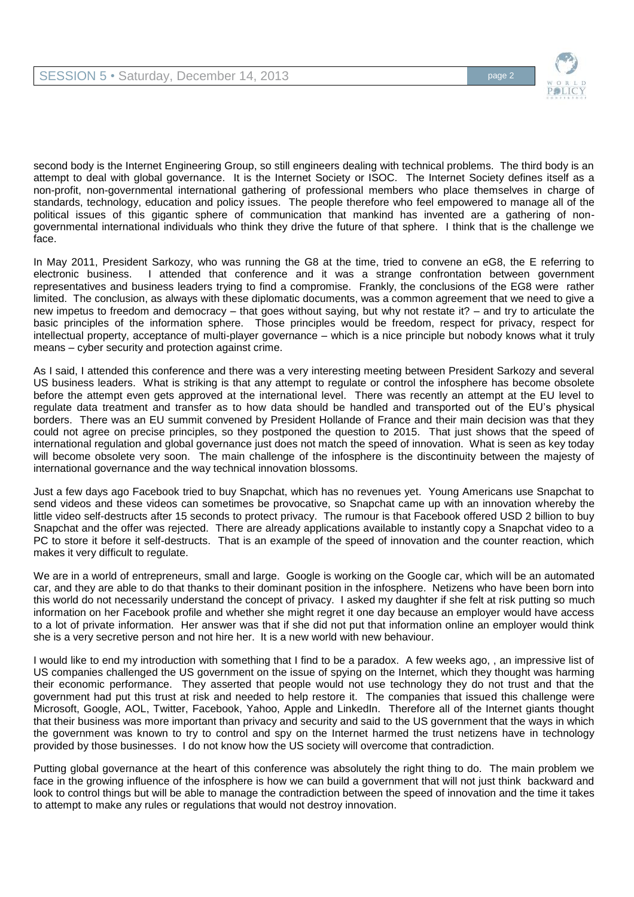

second body is the Internet Engineering Group, so still engineers dealing with technical problems. The third body is an attempt to deal with global governance. It is the Internet Society or ISOC. The Internet Society defines itself as a non-profit, non-governmental international gathering of professional members who place themselves in charge of standards, technology, education and policy issues. The people therefore who feel empowered to manage all of the political issues of this gigantic sphere of communication that mankind has invented are a gathering of nongovernmental international individuals who think they drive the future of that sphere. I think that is the challenge we face.

In May 2011, President Sarkozy, who was running the G8 at the time, tried to convene an eG8, the E referring to electronic business. I attended that conference and it was a strange confrontation between government representatives and business leaders trying to find a compromise. Frankly, the conclusions of the EG8 were rather limited. The conclusion, as always with these diplomatic documents, was a common agreement that we need to give a new impetus to freedom and democracy – that goes without saying, but why not restate it? – and try to articulate the basic principles of the information sphere. Those principles would be freedom, respect for privacy, respect for intellectual property, acceptance of multi-player governance – which is a nice principle but nobody knows what it truly means – cyber security and protection against crime.

As I said, I attended this conference and there was a very interesting meeting between President Sarkozy and several US business leaders. What is striking is that any attempt to regulate or control the infosphere has become obsolete before the attempt even gets approved at the international level. There was recently an attempt at the EU level to regulate data treatment and transfer as to how data should be handled and transported out of the EU's physical borders. There was an EU summit convened by President Hollande of France and their main decision was that they could not agree on precise principles, so they postponed the question to 2015. That just shows that the speed of international regulation and global governance just does not match the speed of innovation. What is seen as key today will become obsolete very soon. The main challenge of the infosphere is the discontinuity between the majesty of international governance and the way technical innovation blossoms.

Just a few days ago Facebook tried to buy Snapchat, which has no revenues yet. Young Americans use Snapchat to send videos and these videos can sometimes be provocative, so Snapchat came up with an innovation whereby the little video self-destructs after 15 seconds to protect privacy. The rumour is that Facebook offered USD 2 billion to buy Snapchat and the offer was rejected. There are already applications available to instantly copy a Snapchat video to a PC to store it before it self-destructs. That is an example of the speed of innovation and the counter reaction, which makes it very difficult to regulate.

We are in a world of entrepreneurs, small and large. Google is working on the Google car, which will be an automated car, and they are able to do that thanks to their dominant position in the infosphere. Netizens who have been born into this world do not necessarily understand the concept of privacy. I asked my daughter if she felt at risk putting so much information on her Facebook profile and whether she might regret it one day because an employer would have access to a lot of private information. Her answer was that if she did not put that information online an employer would think she is a very secretive person and not hire her. It is a new world with new behaviour.

I would like to end my introduction with something that I find to be a paradox. A few weeks ago, , an impressive list of US companies challenged the US government on the issue of spying on the Internet, which they thought was harming their economic performance. They asserted that people would not use technology they do not trust and that the government had put this trust at risk and needed to help restore it. The companies that issued this challenge were Microsoft, Google, AOL, Twitter, Facebook, Yahoo, Apple and LinkedIn. Therefore all of the Internet giants thought that their business was more important than privacy and security and said to the US government that the ways in which the government was known to try to control and spy on the Internet harmed the trust netizens have in technology provided by those businesses. I do not know how the US society will overcome that contradiction.

Putting global governance at the heart of this conference was absolutely the right thing to do. The main problem we face in the growing influence of the infosphere is how we can build a government that will not just think backward and look to control things but will be able to manage the contradiction between the speed of innovation and the time it takes to attempt to make any rules or regulations that would not destroy innovation.